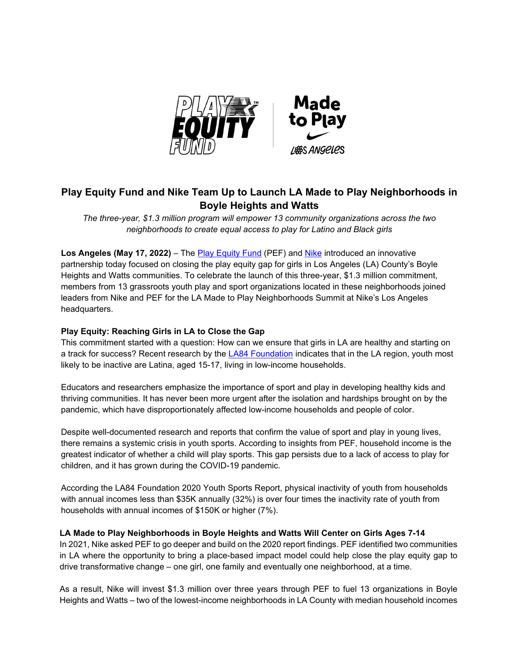

# **Play Equity Fund and Nike Team Up to Launch LA Made to Play Neighborhoods in Boyle Heights and Watts**

*The three-year, \$1.3 million program will empower 13 community organizations across the two neighborhoods to create equal access to play for Latino and Black girls*

**Los Angeles (May 17, 2022)** – The [Play Equity Fund](https://playequityfund.org/) (PEF) and [Nike](https://purpose.nike.com/) introduced an innovative partnership today focused on closing the play equity gap for girls in Los Angeles (LA) County's Boyle Heights and Watts communities. To celebrate the launch of this three-year, \$1.3 million commitment, members from 13 grassroots youth play and sport organizations located in these neighborhoods joined leaders from Nike and PEF for the LA Made to Play Neighborhoods Summit at Nike's Los Angeles headquarters.

## **Play Equity: Reaching Girls in LA to Close the Gap**

This commitment started with a question: How can we ensure that girls in LA are healthy and starting on a track for success? Recent research by the [LA84 Foundation](https://la84.org/) indicates that in the LA region, youth most likely to be inactive are Latina, aged 15-17, living in low-income households.

Educators and researchers emphasize the importance of sport and play in developing healthy kids and thriving communities. It has never been more urgent after the isolation and hardships brought on by the pandemic, which have disproportionately affected low-income households and people of color.

Despite well-documented research and reports that confirm the value of sport and play in young lives, there remains a systemic crisis in youth sports. According to insights from PEF, household income is the greatest indicator of whether a child will play sports. This gap persists due to a lack of access to play for children, and it has grown during the COVID-19 pandemic.

According the LA84 Foundation 2020 Youth Sports Report, physical inactivity of youth from households with annual incomes less than \$35K annually (32%) is over four times the inactivity rate of youth from households with annual incomes of \$150K or higher (7%).

### **LA Made to Play Neighborhoods in Boyle Heights and Watts Will Center on Girls Ages 7-14**

In 2021, Nike asked PEF to go deeper and build on the 2020 report findings. PEF identified two communities in LA where the opportunity to bring a place-based impact model could help close the play equity gap to drive transformative change – one girl, one family and eventually one neighborhood, at a time.

As a result, Nike will invest \$1.3 million over three years through PEF to fuel 13 organizations in Boyle Heights and Watts – two of the lowest-income neighborhoods in LA County with median household incomes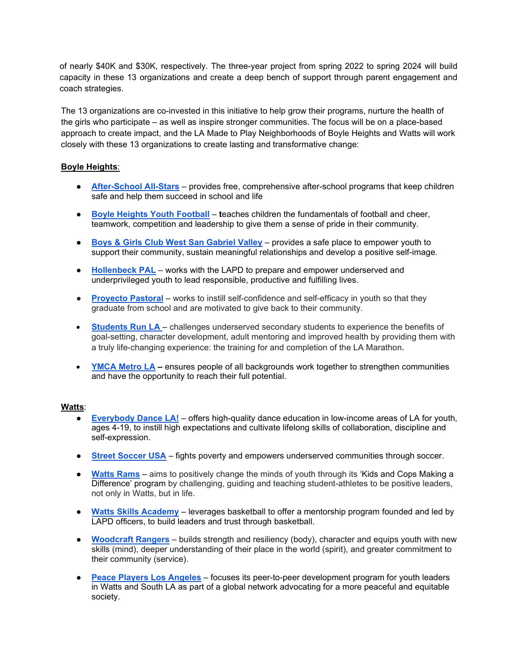of nearly \$40K and \$30K, respectively. The three-year project from spring 2022 to spring 2024 will build capacity in these 13 organizations and create a deep bench of support through parent engagement and coach strategies.

The 13 organizations are co-invested in this initiative to help grow their programs, nurture the health of the girls who participate – as well as inspire stronger communities. The focus will be on a place-based approach to create impact, and the LA Made to Play Neighborhoods of Boyle Heights and Watts will work closely with these 13 organizations to create lasting and transformative change:

## **Boyle Heights**:

- **[After-School All-Stars](https://afterschoolallstars.org/)** provides free, comprehensive after-school programs that keep children safe and help them succeed in school and life
- **[Boyle Heights Youth Football](https://www.leaguelineup.com/welcome.asp?url=bhwp) t**eaches children the fundamentals of football and cheer, teamwork, competition and leadership to give them a sense of pride in their community.
- **[Boys & Girls Club West San Gabriel Valley](https://www.wsgvbgc.org/)** provides a safe place to empower youth to support their community, sustain meaningful relationships and develop a positive self-image.
- **[Hollenbeck PAL](https://lapdhollenbeckpal.org/)** works with the LAPD to prepare and empower underserved and underprivileged youth to lead responsible, productive and fulfilling lives.
- **• [Proyecto Pastoral](https://www.proyectopastoral.org/impacto)** works to instill self-confidence and self-efficacy in youth so that they graduate from school and are motivated to give back to their community.
- **[Students Run LA](https://www.srla.org/)**  challenges underserved secondary students to experience the benefits of goal-setting, character development, adult mentoring and improved health by providing them with a truly life-changing experience: the training for and completion of the LA Marathon*.*
- **[YMCA Metro LA](https://www.ymcala.org/locations/weingart-east-los-angeles-ymca) –** ensures people of all backgrounds work together to strengthen communities and have the opportunity to reach their full potential.

### **Watts**:

- **[Everybody Dance LA!](https://www.everybodydance.org/)** offers high-quality dance education in low-income areas of LA for youth, ages 4-19, to instill high expectations and cultivate lifelong skills of collaboration, discipline and self-expression.
- **[Street Soccer USA](https://www.streetsoccerusa.org/los-angeles/)** fights poverty and empowers underserved communities through soccer.
- **[Watts Rams](https://thewattsrams.com/)** aims to positively change the minds of youth through its 'Kids and Cops Making a Difference' program by challenging, guiding and teaching student-athletes to be positive leaders, not only in Watts, but in life.
- **[Watts Skills Academy](https://wattsskillsacademy.net/)** leverages basketball to offer a mentorship program founded and led by LAPD officers, to build leaders and trust through basketball.
- **[Woodcraft Rangers](https://woodcraftrangers.org/)** builds strength and resiliency (body), character and equips youth with new skills (mind), deeper understanding of their place in the world (spirit), and greater commitment to their community (service).
- **[Peace Players Los Angeles](https://peaceplayers.org/los-angeles/)** focuses its peer-to-peer development program for youth leaders in Watts and South LA as part of a global network advocating for a more peaceful and equitable society.